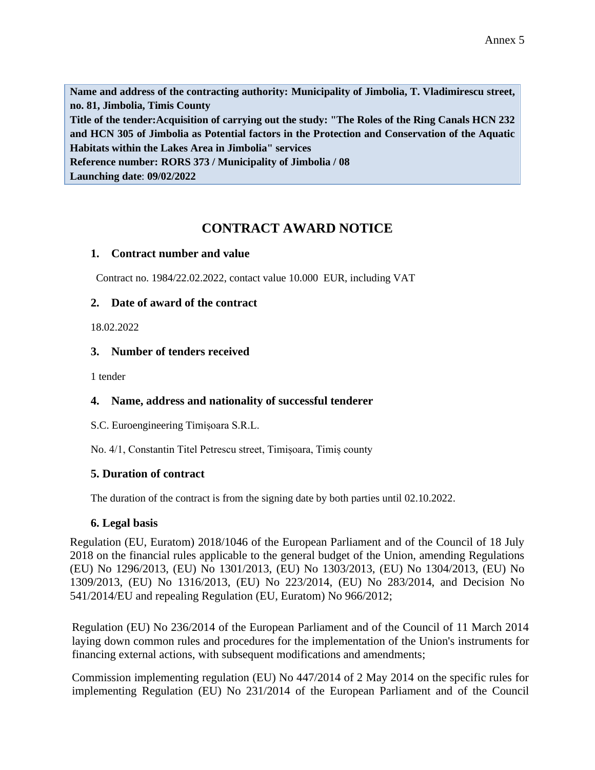**Name and address of the contracting authority: Municipality of Jimbolia, T. Vladimirescu street, no. 81, Jimbolia, Timis County Title of the tender:Acquisition of carrying out the study: "The Roles of the Ring Canals HCN 232 and HCN 305 of Jimbolia as Potential factors in the Protection and Conservation of the Aquatic Habitats within the Lakes Area in Jimbolia" services Reference number: RORS 373 / Municipality of Jimbolia / 08 Launching date**: **09/02/2022**

# **CONTRACT AWARD NOTICE**

#### **1. Contract number and value**

Contract no. 1984/22.02.2022, contact value 10.000 EUR, including VAT

### **2. Date of award of the contract**

18.02.2022

### **3. Number of tenders received**

1 tender

## **4. Name, address and nationality of successful tenderer**

S.C. Euroengineering Timișoara S.R.L.

No. 4/1, Constantin Titel Petrescu street, Timișoara, Timiș county

## **5. Duration of contract**

The duration of the contract is from the signing date by both parties until 02.10.2022.

## **6. Legal basis**

Regulation (EU, Euratom) 2018/1046 of the European Parliament and of the Council of 18 July 2018 on the financial rules applicable to the general budget of the Union, amending Regulations (EU) No 1296/2013, (EU) No 1301/2013, (EU) No 1303/2013, (EU) No 1304/2013, (EU) No 1309/2013, (EU) No 1316/2013, (EU) No 223/2014, (EU) No 283/2014, and Decision No 541/2014/EU and repealing Regulation (EU, Euratom) No 966/2012;

Regulation (EU) No 236/2014 of the European Parliament and of the Council of 11 March 2014 laying down common rules and procedures for the implementation of the Union's instruments for financing external actions, with subsequent modifications and amendments;

Commission implementing regulation (EU) No 447/2014 of 2 May 2014 on the specific rules for implementing Regulation (EU) No 231/2014 of the European Parliament and of the Council